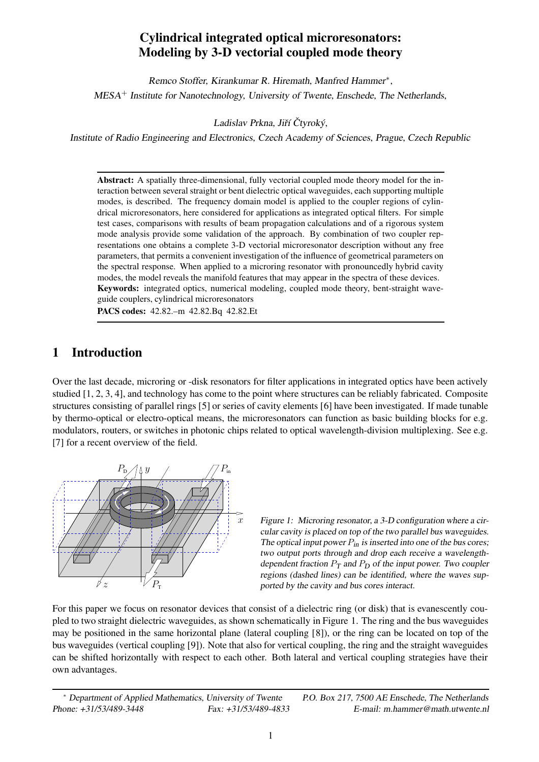# **Cylindrical integrated optical microresonators: Modeling by 3-D vectorial coupled mode theory**

Remco Stoffer, Kirankumar R. Hiremath, Manfred Hammer ∗ , MESA <sup>+</sup> Institute for Nanotechnology, University of Twente, Enschede, The Netherlands,

Ladislav Prkna, Jiří Čtyroký,

Institute of Radio Engineering and Electronics, Czech Academy of Sciences, Prague, Czech Republic

**Abstract:** A spatially three-dimensional, fully vectorial coupled mode theory model for the interaction between several straight or bent dielectric optical waveguides, each supporting multiple modes, is described. The frequency domain model is applied to the coupler regions of cylindrical microresonators, here considered for applications as integrated optical filters. For simple test cases, comparisons with results of beam propagation calculations and of a rigorous system mode analysis provide some validation of the approach. By combination of two coupler representations one obtains a complete 3-D vectorial microresonator description without any free parameters, that permits a convenient investigation of the influence of geometrical parameters on the spectral response. When applied to a microring resonator with pronouncedly hybrid cavity modes, the model reveals the manifold features that may appear in the spectra of these devices. **Keywords:** integrated optics, numerical modeling, coupled mode theory, bent-straight waveguide couplers, cylindrical microresonators

**PACS codes:** 42.82.–m 42.82.Bq 42.82.Et

# **1 Introduction**

Over the last decade, microring or -disk resonators for filter applications in integrated optics have been actively studied [1, 2, 3, 4], and technology has come to the point where structures can be reliably fabricated. Composite structures consisting of parallel rings [5] or series of cavity elements [6] have been investigated. If made tunable by thermo-optical or electro-optical means, the microresonators can function as basic building blocks for e.g. modulators, routers, or switches in photonic chips related to optical wavelength-division multiplexing. See e.g. [7] for a recent overview of the field.



Figure 1: Microring resonator, a 3-D configuration where a circular cavity is placed on top of the two parallel bus waveguides. The optical input power  $P_{in}$  is inserted into one of the bus cores; two output ports through and drop each receive a wavelengthdependent fraction  $P_T$  and  $P_D$  of the input power. Two coupler regions (dashed lines) can be identified, where the waves supported by the cavity and bus cores interact.

For this paper we focus on resonator devices that consist of a dielectric ring (or disk) that is evanescently coupled to two straight dielectric waveguides, as shown schematically in Figure 1. The ring and the bus waveguides may be positioned in the same horizontal plane (lateral coupling [8]), or the ring can be located on top of the bus waveguides (vertical coupling [9]). Note that also for vertical coupling, the ring and the straight waveguides can be shifted horizontally with respect to each other. Both lateral and vertical coupling strategies have their own advantages.

<sup>∗</sup> Department of Applied Mathematics, University of Twente P.O. Box 217, <sup>7500</sup> AE Enschede, The Netherlands Phone: +31/53/489-3448 Fax: +31/53/489-4833 E-mail: m.hammer@math.utwente.nl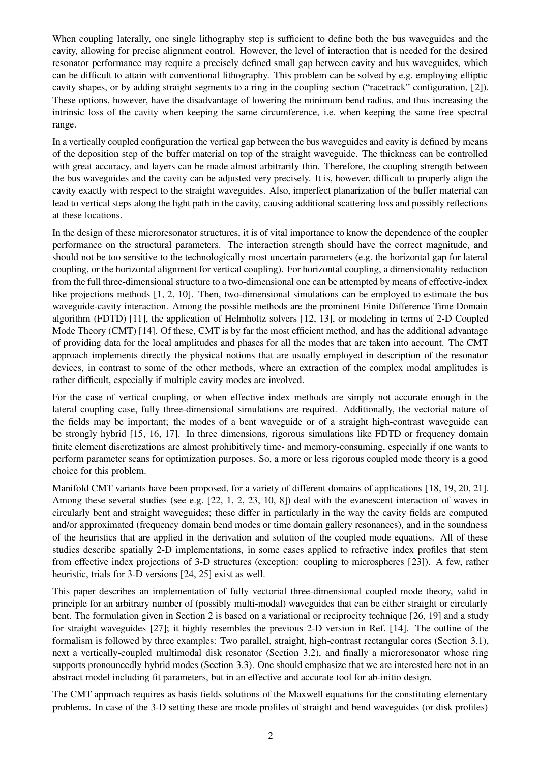When coupling laterally, one single lithography step is sufficient to define both the bus waveguides and the cavity, allowing for precise alignment control. However, the level of interaction that is needed for the desired resonator performance may require a precisely defined small gap between cavity and bus waveguides, which can be difficult to attain with conventional lithography. This problem can be solved by e.g. employing elliptic cavity shapes, or by adding straight segments to a ring in the coupling section ("racetrack" configuration, [2]). These options, however, have the disadvantage of lowering the minimum bend radius, and thus increasing the intrinsic loss of the cavity when keeping the same circumference, i.e. when keeping the same free spectral range.

In a vertically coupled configuration the vertical gap between the bus waveguides and cavity is defined by means of the deposition step of the buffer material on top of the straight waveguide. The thickness can be controlled with great accuracy, and layers can be made almost arbitrarily thin. Therefore, the coupling strength between the bus waveguides and the cavity can be adjusted very precisely. It is, however, difficult to properly align the cavity exactly with respect to the straight waveguides. Also, imperfect planarization of the buffer material can lead to vertical steps along the light path in the cavity, causing additional scattering loss and possibly reflections at these locations.

In the design of these microresonator structures, it is of vital importance to know the dependence of the coupler performance on the structural parameters. The interaction strength should have the correct magnitude, and should not be too sensitive to the technologically most uncertain parameters (e.g. the horizontal gap for lateral coupling, or the horizontal alignment for vertical coupling). For horizontal coupling, a dimensionality reduction from the full three-dimensional structure to a two-dimensional one can be attempted by means of effective-index like projections methods [1, 2, 10]. Then, two-dimensional simulations can be employed to estimate the bus waveguide-cavity interaction. Among the possible methods are the prominent Finite Difference Time Domain algorithm (FDTD) [11], the application of Helmholtz solvers [12, 13], or modeling in terms of 2-D Coupled Mode Theory (CMT) [14]. Of these, CMT is by far the most efficient method, and has the additional advantage of providing data for the local amplitudes and phases for all the modes that are taken into account. The CMT approach implements directly the physical notions that are usually employed in description of the resonator devices, in contrast to some of the other methods, where an extraction of the complex modal amplitudes is rather difficult, especially if multiple cavity modes are involved.

For the case of vertical coupling, or when effective index methods are simply not accurate enough in the lateral coupling case, fully three-dimensional simulations are required. Additionally, the vectorial nature of the fields may be important; the modes of a bent waveguide or of a straight high-contrast waveguide can be strongly hybrid [15, 16, 17]. In three dimensions, rigorous simulations like FDTD or frequency domain finite element discretizations are almost prohibitively time- and memory-consuming, especially if one wants to perform parameter scans for optimization purposes. So, a more or less rigorous coupled mode theory is a good choice for this problem.

Manifold CMT variants have been proposed, for a variety of different domains of applications [18, 19, 20, 21]. Among these several studies (see e.g. [22, 1, 2, 23, 10, 8]) deal with the evanescent interaction of waves in circularly bent and straight waveguides; these differ in particularly in the way the cavity fields are computed and/or approximated (frequency domain bend modes or time domain gallery resonances), and in the soundness of the heuristics that are applied in the derivation and solution of the coupled mode equations. All of these studies describe spatially 2-D implementations, in some cases applied to refractive index profiles that stem from effective index projections of 3-D structures (exception: coupling to microspheres [23]). A few, rather heuristic, trials for 3-D versions [24, 25] exist as well.

This paper describes an implementation of fully vectorial three-dimensional coupled mode theory, valid in principle for an arbitrary number of (possibly multi-modal) waveguides that can be either straight or circularly bent. The formulation given in Section 2 is based on a variational or reciprocity technique [26, 19] and a study for straight waveguides [27]; it highly resembles the previous 2-D version in Ref. [14]. The outline of the formalism is followed by three examples: Two parallel, straight, high-contrast rectangular cores (Section 3.1), next a vertically-coupled multimodal disk resonator (Section 3.2), and finally a microresonator whose ring supports pronouncedly hybrid modes (Section 3.3). One should emphasize that we are interested here not in an abstract model including fit parameters, but in an effective and accurate tool for ab-initio design.

The CMT approach requires as basis fields solutions of the Maxwell equations for the constituting elementary problems. In case of the 3-D setting these are mode profiles of straight and bend waveguides (or disk profiles)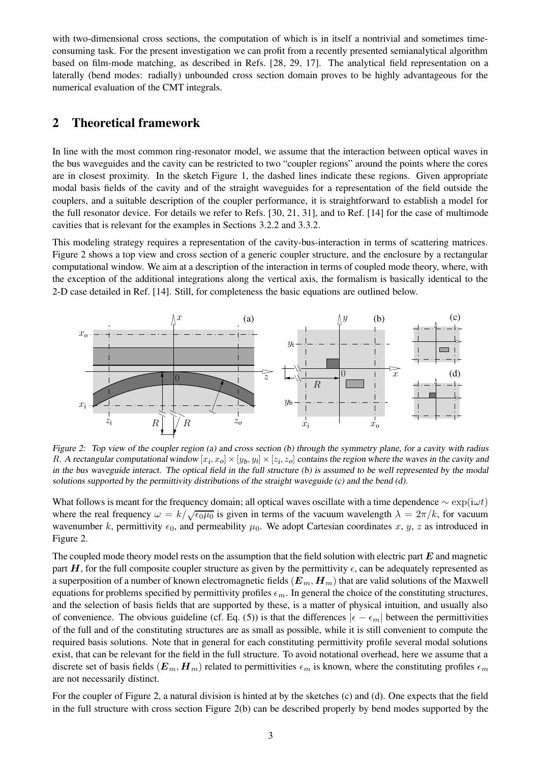with two-dimensional cross sections, the computation of which is in itself a nontrivial and sometimes timeconsuming task. For the present investigation we can profit from a recently presented semianalytical algorithm based on film-mode matching, as described in Refs. [28, 29, 17]. The analytical field representation on a laterally (bend modes: radially) unbounded cross section domain proves to be highly advantageous for the numerical evaluation of the CMT integrals.

## **2 Theoretical framework**

In line with the most common ring-resonator model, we assume that the interaction between optical waves in the bus waveguides and the cavity can be restricted to two "coupler regions" around the points where the cores are in closest proximity. In the sketch Figure 1, the dashed lines indicate these regions. Given appropriate modal basis fields of the cavity and of the straight waveguides for a representation of the field outside the couplers, and a suitable description of the coupler performance, it is straightforward to establish a model for the full resonator device. For details we refer to Refs. [30, 21, 31], and to Ref. [14] for the case of multimode cavities that is relevant for the examples in Sections 3.2.2 and 3.3.2.

This modeling strategy requires a representation of the cavity-bus-interaction in terms of scattering matrices. Figure 2 shows a top view and cross section of a generic coupler structure, and the enclosure by a rectangular computational window. We aim at a description of the interaction in terms of coupled mode theory, where, with the exception of the additional integrations along the vertical axis, the formalism is basically identical to the 2-D case detailed in Ref. [14]. Still, for completeness the basic equations are outlined below.



Figure 2: Top view of the coupler region (a) and cross section (b) through the symmetry plane, for a cavity with radius R. A rectangular computational window  $[x_i, x_0] \times [y_b, y_t] \times [z_i, z_0]$  contains the region where the waves in the cavity and in the bus waveguide interact. The optical field in the full structure (b) is assumed to be well represented by the modal solutions supported by the permittivity distributions of the straight waveguide (c) and the bend (d).

What follows is meant for the frequency domain; all optical waves oscillate with a time dependence  $\sim \exp(i\omega t)$ where the real frequency  $\omega = k/\sqrt{\epsilon_0\mu_0}$  is given in terms of the vacuum wavelength  $\lambda = 2\pi/k$ , for vacuum wavenumber k, permittivity  $\epsilon_0$ , and permeability  $\mu_0$ . We adopt Cartesian coordinates x, y, z as introduced in Figure 2.

The coupled mode theory model rests on the assumption that the field solution with electric part  $E$  and magnetic part H, for the full composite coupler structure as given by the permittivity  $\epsilon$ , can be adequately represented as a superposition of a number of known electromagnetic fields  $(E_m, H_m)$  that are valid solutions of the Maxwell equations for problems specified by permittivity profiles  $\epsilon_m$ . In general the choice of the constituting structures, and the selection of basis fields that are supported by these, is a matter of physical intuition, and usually also of convenience. The obvious guideline (cf. Eq. (5)) is that the differences  $|\epsilon - \epsilon_m|$  between the permittivities of the full and of the constituting structures are as small as possible, while it is still convenient to compute the required basis solutions. Note that in general for each constituting permittivity profile several modal solutions exist, that can be relevant for the field in the full structure. To avoid notational overhead, here we assume that a discrete set of basis fields  $(E_m, H_m)$  related to permittivities  $\epsilon_m$  is known, where the constituting profiles  $\epsilon_m$ are not necessarily distinct.

For the coupler of Figure 2, a natural division is hinted at by the sketches (c) and (d). One expects that the field in the full structure with cross section Figure 2(b) can be described properly by bend modes supported by the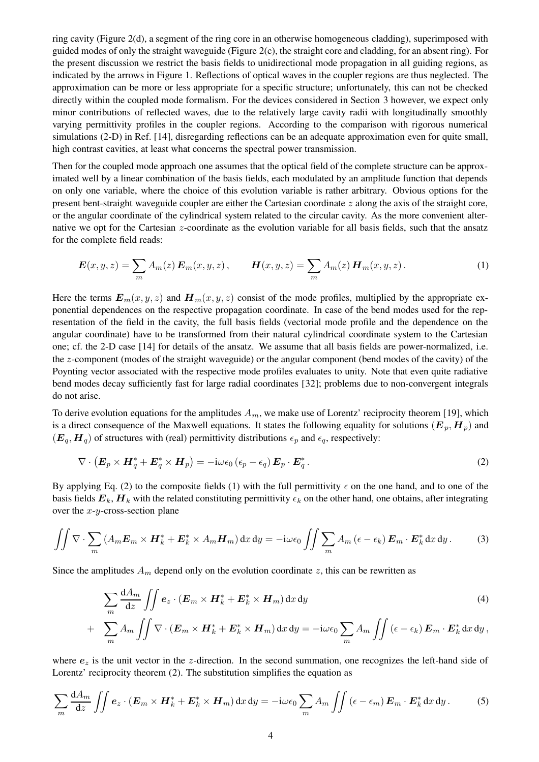ring cavity (Figure 2(d), a segment of the ring core in an otherwise homogeneous cladding), superimposed with guided modes of only the straight waveguide (Figure 2(c), the straight core and cladding, for an absent ring). For the present discussion we restrict the basis fields to unidirectional mode propagation in all guiding regions, as indicated by the arrows in Figure 1. Reflections of optical waves in the coupler regions are thus neglected. The approximation can be more or less appropriate for a specific structure; unfortunately, this can not be checked directly within the coupled mode formalism. For the devices considered in Section 3 however, we expect only minor contributions of reflected waves, due to the relatively large cavity radii with longitudinally smoothly varying permittivity profiles in the coupler regions. According to the comparison with rigorous numerical simulations (2-D) in Ref. [14], disregarding reflections can be an adequate approximation even for quite small, high contrast cavities, at least what concerns the spectral power transmission.

Then for the coupled mode approach one assumes that the optical field of the complete structure can be approximated well by a linear combination of the basis fields, each modulated by an amplitude function that depends on only one variable, where the choice of this evolution variable is rather arbitrary. Obvious options for the present bent-straight waveguide coupler are either the Cartesian coordinate  $z$  along the axis of the straight core, or the angular coordinate of the cylindrical system related to the circular cavity. As the more convenient alternative we opt for the Cartesian z-coordinate as the evolution variable for all basis fields, such that the ansatz for the complete field reads:

$$
\boldsymbol{E}(x, y, z) = \sum_{m} A_{m}(z) \, \boldsymbol{E}_{m}(x, y, z) \,, \qquad \boldsymbol{H}(x, y, z) = \sum_{m} A_{m}(z) \, \boldsymbol{H}_{m}(x, y, z) \,. \tag{1}
$$

Here the terms  $E_m(x, y, z)$  and  $H_m(x, y, z)$  consist of the mode profiles, multiplied by the appropriate exponential dependences on the respective propagation coordinate. In case of the bend modes used for the representation of the field in the cavity, the full basis fields (vectorial mode profile and the dependence on the angular coordinate) have to be transformed from their natural cylindrical coordinate system to the Cartesian one; cf. the 2-D case [14] for details of the ansatz. We assume that all basis fields are power-normalized, i.e. the z-component (modes of the straight waveguide) or the angular component (bend modes of the cavity) of the Poynting vector associated with the respective mode profiles evaluates to unity. Note that even quite radiative bend modes decay sufficiently fast for large radial coordinates [32]; problems due to non-convergent integrals do not arise.

To derive evolution equations for the amplitudes  $A_m$ , we make use of Lorentz' reciprocity theorem [19], which is a direct consequence of the Maxwell equations. It states the following equality for solutions  $(E_p, H_p)$  and  $(E_q, H_q)$  of structures with (real) permittivity distributions  $\epsilon_p$  and  $\epsilon_q$ , respectively:

$$
\nabla \cdot \left( \boldsymbol{E}_p \times \boldsymbol{H}_q^* + \boldsymbol{E}_q^* \times \boldsymbol{H}_p \right) = -\mathrm{i} \omega \epsilon_0 \left( \epsilon_p - \epsilon_q \right) \boldsymbol{E}_p \cdot \boldsymbol{E}_q^* \,. \tag{2}
$$

By applying Eq. (2) to the composite fields (1) with the full permittivity  $\epsilon$  on the one hand, and to one of the basis fields  $E_k$ ,  $H_k$  with the related constituting permittivity  $\epsilon_k$  on the other hand, one obtains, after integrating over the  $x-y$ -cross-section plane

$$
\iint \nabla \cdot \sum_{m} \left( A_m \mathbf{E}_m \times \mathbf{H}_k^* + \mathbf{E}_k^* \times A_m \mathbf{H}_m \right) dx dy = -i \omega \epsilon_0 \iint \sum_{m} A_m \left( \epsilon - \epsilon_k \right) \mathbf{E}_m \cdot \mathbf{E}_k^* dx dy. \tag{3}
$$

Since the amplitudes  $A_m$  depend only on the evolution coordinate z, this can be rewritten as

$$
\sum_{m} \frac{dA_m}{dz} \iint e_z \cdot (\boldsymbol{E}_m \times \boldsymbol{H}_k^* + \boldsymbol{E}_k^* \times \boldsymbol{H}_m) dx dy
$$
\n(4)

+ 
$$
\sum_{m} A_m \iint \nabla \cdot (\boldsymbol{E}_m \times \boldsymbol{H}_k^* + \boldsymbol{E}_k^* \times \boldsymbol{H}_m) dx dy = -i\omega \epsilon_0 \sum_{m} A_m \iint (\epsilon - \epsilon_k) \boldsymbol{E}_m \cdot \boldsymbol{E}_k^* dx dy
$$
,

where  $e_z$  is the unit vector in the z-direction. In the second summation, one recognizes the left-hand side of Lorentz' reciprocity theorem (2). The substitution simplifies the equation as

$$
\sum_{m} \frac{dA_m}{dz} \iint \mathbf{e}_z \cdot (\mathbf{E}_m \times \mathbf{H}_k^* + \mathbf{E}_k^* \times \mathbf{H}_m) dx dy = -i\omega \epsilon_0 \sum_{m} A_m \iint (\epsilon - \epsilon_m) \mathbf{E}_m \cdot \mathbf{E}_k^* dx dy.
$$
 (5)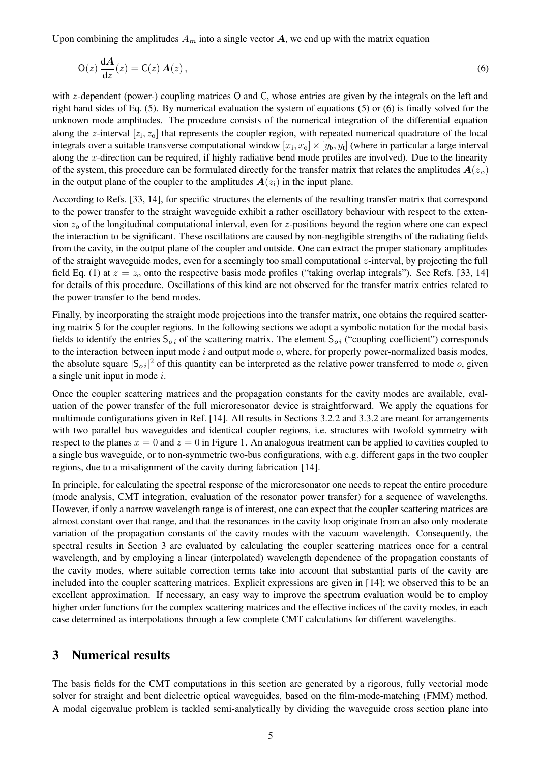Upon combining the amplitudes  $A_m$  into a single vector  $A$ , we end up with the matrix equation

$$
O(z)\frac{dA}{dz}(z) = C(z) A(z),
$$
\n(6)

with z-dependent (power-) coupling matrices O and C, whose entries are given by the integrals on the left and right hand sides of Eq. (5). By numerical evaluation the system of equations (5) or (6) is finally solved for the unknown mode amplitudes. The procedure consists of the numerical integration of the differential equation along the z-interval  $[z_i, z_o]$  that represents the coupler region, with repeated numerical quadrature of the local integrals over a suitable transverse computational window  $[x_i, x_o] \times [y_b, y_t]$  (where in particular a large interval along the x-direction can be required, if highly radiative bend mode profiles are involved). Due to the linearity of the system, this procedure can be formulated directly for the transfer matrix that relates the amplitudes  $A(z_0)$ in the output plane of the coupler to the amplitudes  $A(z_i)$  in the input plane.

According to Refs. [33, 14], for specific structures the elements of the resulting transfer matrix that correspond to the power transfer to the straight waveguide exhibit a rather oscillatory behaviour with respect to the extension  $z_0$  of the longitudinal computational interval, even for z-positions beyond the region where one can expect the interaction to be significant. These oscillations are caused by non-negligible strengths of the radiating fields from the cavity, in the output plane of the coupler and outside. One can extract the proper stationary amplitudes of the straight waveguide modes, even for a seemingly too small computational  $z$ -interval, by projecting the full field Eq. (1) at  $z = z_0$  onto the respective basis mode profiles ("taking overlap integrals"). See Refs. [33, 14] for details of this procedure. Oscillations of this kind are not observed for the transfer matrix entries related to the power transfer to the bend modes.

Finally, by incorporating the straight mode projections into the transfer matrix, one obtains the required scattering matrix S for the coupler regions. In the following sections we adopt a symbolic notation for the modal basis fields to identify the entries  $S_{oi}$  of the scattering matrix. The element  $S_{oi}$  ("coupling coefficient") corresponds to the interaction between input mode  $i$  and output mode  $o$ , where, for properly power-normalized basis modes, the absolute square  $|S_{oi}|^2$  of this quantity can be interpreted as the relative power transferred to mode o, given a single unit input in mode i.

Once the coupler scattering matrices and the propagation constants for the cavity modes are available, evaluation of the power transfer of the full microresonator device is straightforward. We apply the equations for multimode configurations given in Ref. [14]. All results in Sections 3.2.2 and 3.3.2 are meant for arrangements with two parallel bus waveguides and identical coupler regions, i.e. structures with twofold symmetry with respect to the planes  $x = 0$  and  $z = 0$  in Figure 1. An analogous treatment can be applied to cavities coupled to a single bus waveguide, or to non-symmetric two-bus configurations, with e.g. different gaps in the two coupler regions, due to a misalignment of the cavity during fabrication [14].

In principle, for calculating the spectral response of the microresonator one needs to repeat the entire procedure (mode analysis, CMT integration, evaluation of the resonator power transfer) for a sequence of wavelengths. However, if only a narrow wavelength range is of interest, one can expect that the coupler scattering matrices are almost constant over that range, and that the resonances in the cavity loop originate from an also only moderate variation of the propagation constants of the cavity modes with the vacuum wavelength. Consequently, the spectral results in Section 3 are evaluated by calculating the coupler scattering matrices once for a central wavelength, and by employing a linear (interpolated) wavelength dependence of the propagation constants of the cavity modes, where suitable correction terms take into account that substantial parts of the cavity are included into the coupler scattering matrices. Explicit expressions are given in [14]; we observed this to be an excellent approximation. If necessary, an easy way to improve the spectrum evaluation would be to employ higher order functions for the complex scattering matrices and the effective indices of the cavity modes, in each case determined as interpolations through a few complete CMT calculations for different wavelengths.

## **3 Numerical results**

The basis fields for the CMT computations in this section are generated by a rigorous, fully vectorial mode solver for straight and bent dielectric optical waveguides, based on the film-mode-matching (FMM) method. A modal eigenvalue problem is tackled semi-analytically by dividing the waveguide cross section plane into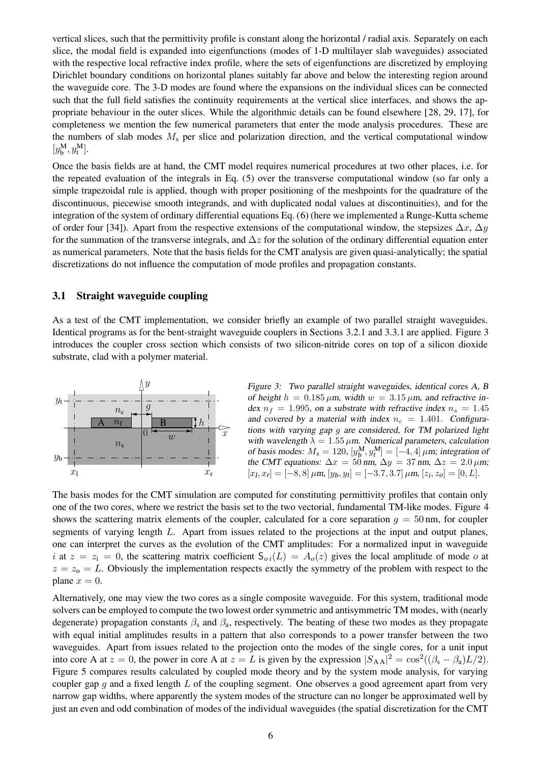vertical slices, such that the permittivity profile is constant along the horizontal / radial axis. Separately on each slice, the modal field is expanded into eigenfunctions (modes of 1-D multilayer slab waveguides) associated with the respective local refractive index profile, where the sets of eigenfunctions are discretized by employing Dirichlet boundary conditions on horizontal planes suitably far above and below the interesting region around the waveguide core. The 3-D modes are found where the expansions on the individual slices can be connected such that the full field satisfies the continuity requirements at the vertical slice interfaces, and shows the appropriate behaviour in the outer slices. While the algorithmic details can be found elsewhere [28, 29, 17], for completeness we mention the few numerical parameters that enter the mode analysis procedures. These are the numbers of slab modes  $M<sub>s</sub>$  per slice and polarization direction, and the vertical computational window  $[y_{\mathsf{b}}^{\mathsf{M}}, y_{\mathsf{t}}^{\mathsf{M}}].$ 

Once the basis fields are at hand, the CMT model requires numerical procedures at two other places, i.e. for the repeated evaluation of the integrals in Eq. (5) over the transverse computational window (so far only a simple trapezoidal rule is applied, though with proper positioning of the meshpoints for the quadrature of the discontinuous, piecewise smooth integrands, and with duplicated nodal values at discontinuities), and for the integration of the system of ordinary differential equations Eq. (6) (here we implemented a Runge-Kutta scheme of order four [34]). Apart from the respective extensions of the computational window, the stepsizes  $\Delta x$ ,  $\Delta y$ for the summation of the transverse integrals, and  $\Delta z$  for the solution of the ordinary differential equation enter as numerical parameters. Note that the basis fields for the CMT analysis are given quasi-analytically; the spatial discretizations do not influence the computation of mode profiles and propagation constants.

## **3.1 Straight waveguide coupling**

As a test of the CMT implementation, we consider briefly an example of two parallel straight waveguides. Identical programs as for the bent-straight waveguide couplers in Sections 3.2.1 and 3.3.1 are applied. Figure 3 introduces the coupler cross section which consists of two silicon-nitride cores on top of a silicon dioxide substrate, clad with a polymer material.



Figure 3: Two parallel straight waveguides, identical cores A, <sup>B</sup> of height  $h = 0.185 \mu m$ , width  $w = 3.15 \mu m$ , and refractive index  $n_f = 1.995$ , on a substrate with refractive index  $n_s = 1.45$ and covered by a material with index  $n_c = 1.401$ . Configurations with varying gap g are considered, for TM polarized light with wavelength  $\lambda = 1.55 \,\mu$ m. Numerical parameters, calculation of basis modes:  $M_s = 120$ ,  $[y_b^M, y_t^M] = [-4, 4] \mu m$ ; integration of the CMT equations:  $\Delta x = 50$  nm,  $\Delta y = 37$  nm,  $\Delta z = 2.0 \,\mu \text{m}$ ;  $[x_l, x_r] = [-8, 8] \mu \text{m}, [y_b, y_t] = [-3.7, 3.7] \mu \text{m}, [z_i, z_o] = [0, L].$ 

The basis modes for the CMT simulation are computed for constituting permittivity profiles that contain only one of the two cores, where we restrict the basis set to the two vectorial, fundamental TM-like modes. Figure 4 shows the scattering matrix elements of the coupler, calculated for a core separation  $q = 50$  nm, for coupler segments of varying length L. Apart from issues related to the projections at the input and output planes, one can interpret the curves as the evolution of the CMT amplitudes: For a normalized input in waveguide i at  $z = z_i = 0$ , the scattering matrix coefficient  $S_{oi}(L) = A_o(z)$  gives the local amplitude of mode o at  $z = z_0 = L$ . Obviously the implementation respects exactly the symmetry of the problem with respect to the plane  $x = 0$ .

Alternatively, one may view the two cores as a single composite waveguide. For this system, traditional mode solvers can be employed to compute the two lowest order symmetric and antisymmetric TM modes, with (nearly degenerate) propagation constants  $\beta_s$  and  $\beta_a$ , respectively. The beating of these two modes as they propagate with equal initial amplitudes results in a pattern that also corresponds to a power transfer between the two waveguides. Apart from issues related to the projection onto the modes of the single cores, for a unit input into core A at  $z = 0$ , the power in core A at  $z = L$  is given by the expression  $|S_{AA}|^2 = \cos^2((\beta_s - \beta_a)L/2)$ . Figure 5 compares results calculated by coupled mode theory and by the system mode analysis, for varying coupler gap  $q$  and a fixed length  $L$  of the coupling segment. One observes a good agreement apart from very narrow gap widths, where apparently the system modes of the structure can no longer be approximated well by just an even and odd combination of modes of the individual waveguides (the spatial discretization for the CMT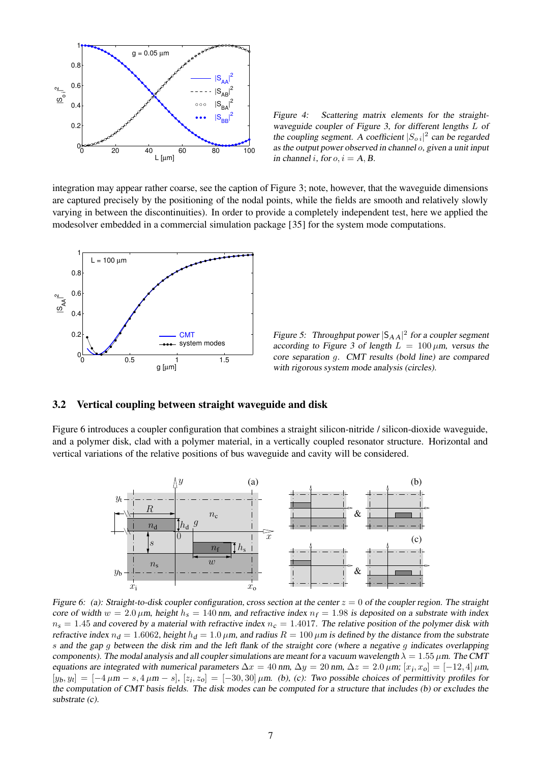

Figure 4: Scattering matrix elements for the straightwaveguide coupler of Figure 3, for different lengths L of the coupling segment. A coefficient  $|S_{oi}|^2$  can be regarded as the output power observed in channel o, given <sup>a</sup> unit input in channel i, for  $o, i = A, B$ .

integration may appear rather coarse, see the caption of Figure 3; note, however, that the waveguide dimensions are captured precisely by the positioning of the nodal points, while the fields are smooth and relatively slowly varying in between the discontinuities). In order to provide a completely independent test, here we applied the modesolver embedded in a commercial simulation package [35] for the system mode computations.



Figure 5: Throughput power  $|S_{AA}|^2$  for a coupler segment according to Figure 3 of length  $L = 100 \mu m$ , versus the core separation g. CMT results (bold line) are compared with rigorous system mode analysis (circles).

## **3.2 Vertical coupling between straight waveguide and disk**

Figure 6 introduces a coupler configuration that combines a straight silicon-nitride / silicon-dioxide waveguide, and a polymer disk, clad with a polymer material, in a vertically coupled resonator structure. Horizontal and vertical variations of the relative positions of bus waveguide and cavity will be considered.



Figure 6: (a): Straight-to-disk coupler configuration, cross section at the center  $z = 0$  of the coupler region. The straight core of width  $w = 2.0 \mu$ m, height  $h_s = 140 \text{ nm}$ , and refractive index  $n_f = 1.98$  is deposited on a substrate with index  $n_s = 1.45$  and covered by a material with refractive index  $n_c = 1.4017$ . The relative position of the polymer disk with refractive index  $n_d = 1.6062$ , height  $h_d = 1.0 \mu m$ , and radius  $R = 100 \mu m$  is defined by the distance from the substrate s and the gap g between the disk rim and the left flank of the straight core (where <sup>a</sup> negative g indicates overlapping components). The modal analysis and all coupler simulations are meant for a vacuum wavelength  $\lambda = 1.55 \,\mu$ m. The CMT equations are integrated with numerical parameters  $\Delta x = 40$  nm,  $\Delta y = 20$  nm,  $\Delta z = 2.0 \,\mu$ m;  $[x_i, x_o] = [-12, 4] \,\mu$ m,  $[y_b, y_c] = [-4 \mu m - s, 4 \mu m - s], [z_i, z_o] = [-30, 30] \mu m$ . (b), (c): Two possible choices of permittivity profiles for the computation of CMT basis fields. The disk modes can be computed for <sup>a</sup> structure that includes (b) or excludes the substrate (c).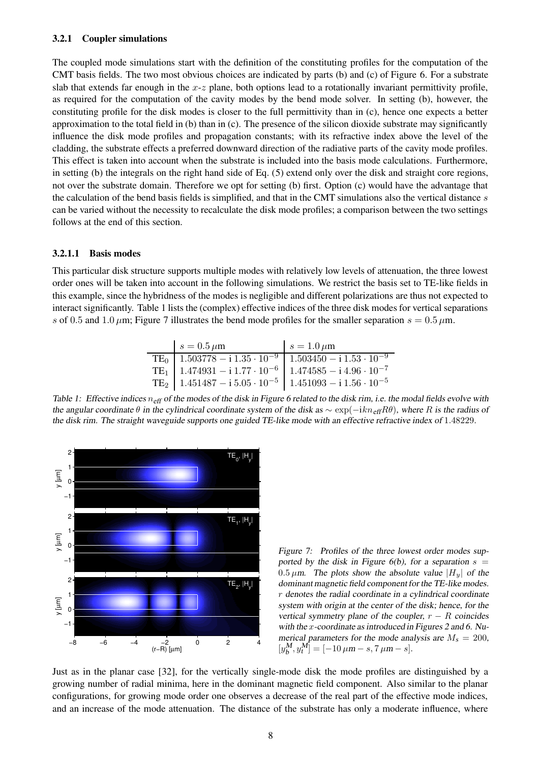#### **3.2.1 Coupler simulations**

The coupled mode simulations start with the definition of the constituting profiles for the computation of the CMT basis fields. The two most obvious choices are indicated by parts (b) and (c) of Figure 6. For a substrate slab that extends far enough in the  $x-z$  plane, both options lead to a rotationally invariant permittivity profile, as required for the computation of the cavity modes by the bend mode solver. In setting (b), however, the constituting profile for the disk modes is closer to the full permittivity than in (c), hence one expects a better approximation to the total field in (b) than in (c). The presence of the silicon dioxide substrate may significantly influence the disk mode profiles and propagation constants; with its refractive index above the level of the cladding, the substrate effects a preferred downward direction of the radiative parts of the cavity mode profiles. This effect is taken into account when the substrate is included into the basis mode calculations. Furthermore, in setting (b) the integrals on the right hand side of Eq. (5) extend only over the disk and straight core regions, not over the substrate domain. Therefore we opt for setting (b) first. Option (c) would have the advantage that the calculation of the bend basis fields is simplified, and that in the CMT simulations also the vertical distance s can be varied without the necessity to recalculate the disk mode profiles; a comparison between the two settings follows at the end of this section.

### **3.2.1.1 Basis modes**

This particular disk structure supports multiple modes with relatively low levels of attenuation, the three lowest order ones will be taken into account in the following simulations. We restrict the basis set to TE-like fields in this example, since the hybridness of the modes is negligible and different polarizations are thus not expected to interact significantly. Table 1 lists the (complex) effective indices of the three disk modes for vertical separations s of 0.5 and 1.0  $\mu$ m; Figure 7 illustrates the bend mode profiles for the smaller separation  $s = 0.5 \mu$ m.

| $s = 0.5 \mu m$                                                                                                                                                            | $s=1.0 \,\mu m$ |
|----------------------------------------------------------------------------------------------------------------------------------------------------------------------------|-----------------|
|                                                                                                                                                                            |                 |
| TE <sub>0</sub> $1.503778 - i 1.35 \cdot 10^{-9}$ $1.503450 - i 1.53 \cdot 10^{-9}$<br>TE <sub>1</sub> $1.474931 - i 1.77 \cdot 10^{-6}$ $1.474585 - i 4.96 \cdot 10^{-7}$ |                 |
| TE <sub>2</sub>   $1.451487 - i 5.05 \cdot 10^{-5}$   $1.451093 - i 1.56 \cdot 10^{-5}$                                                                                    |                 |

Table 1: Effective indices  $n_{\text{eff}}$  of the modes of the disk in Figure 6 related to the disk rim, i.e. the modal fields evolve with the angular coordinate  $\theta$  in the cylindrical coordinate system of the disk as  $\sim \exp(-ikn_{\text{eff}}R\theta)$ , where R is the radius of the disk rim. The straight waveguide supports one guided TE-like mode with an effective refractive index of 1.48229.



Figure 7: Profiles of the three lowest order modes supported by the disk in Figure  $6(b)$ , for a separation  $s =$ 0.5  $\mu$ m. The plots show the absolute value |H<sub>y</sub>| of the dominant magnetic field component for the TE-like modes. r denotes the radial coordinate in <sup>a</sup> cylindrical coordinate system with origin at the center of the disk; hence, for the vertical symmetry plane of the coupler,  $r - R$  coincides with the x-coordinate as introduced in Figures <sup>2</sup> and 6. Numerical parameters for the mode analysis are  $M_s = 200$ ,  $[y_b^M, y_t^M] = [-10 \,\mu m - s, 7 \,\mu m - s].$ 

Just as in the planar case [32], for the vertically single-mode disk the mode profiles are distinguished by a growing number of radial minima, here in the dominant magnetic field component. Also similar to the planar configurations, for growing mode order one observes a decrease of the real part of the effective mode indices, and an increase of the mode attenuation. The distance of the substrate has only a moderate influence, where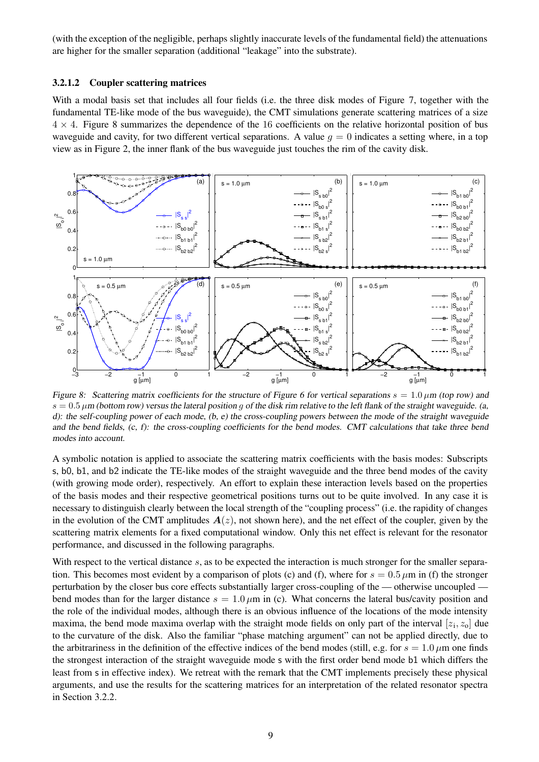(with the exception of the negligible, perhaps slightly inaccurate levels of the fundamental field) the attenuations are higher for the smaller separation (additional "leakage" into the substrate).

#### **3.2.1.2 Coupler scattering matrices**

With a modal basis set that includes all four fields (i.e. the three disk modes of Figure 7, together with the fundamental TE-like mode of the bus waveguide), the CMT simulations generate scattering matrices of a size  $4 \times 4$ . Figure 8 summarizes the dependence of the 16 coefficients on the relative horizontal position of bus waveguide and cavity, for two different vertical separations. A value  $q = 0$  indicates a setting where, in a top view as in Figure 2, the inner flank of the bus waveguide just touches the rim of the cavity disk.



Figure 8: Scattering matrix coefficients for the structure of Figure 6 for vertical separations  $s = 1.0 \mu m$  (top row) and  $s = 0.5 \mu$ m (bottom row) versus the lateral position g of the disk rim relative to the left flank of the straight waveguide. (a, d): the self-coupling power of each mode, (b, e) the cross-coupling powers between the mode of the straight waveguide and the bend fields, (c, f): the cross-coupling coefficients for the bend modes. CMT calculations that take three bend modes into account.

A symbolic notation is applied to associate the scattering matrix coefficients with the basis modes: Subscripts s, b0, b1, and b2 indicate the TE-like modes of the straight waveguide and the three bend modes of the cavity (with growing mode order), respectively. An effort to explain these interaction levels based on the properties of the basis modes and their respective geometrical positions turns out to be quite involved. In any case it is necessary to distinguish clearly between the local strength of the "coupling process" (i.e. the rapidity of changes in the evolution of the CMT amplitudes  $A(z)$ , not shown here), and the net effect of the coupler, given by the scattering matrix elements for a fixed computational window. Only this net effect is relevant for the resonator performance, and discussed in the following paragraphs.

With respect to the vertical distance  $s$ , as to be expected the interaction is much stronger for the smaller separation. This becomes most evident by a comparison of plots (c) and (f), where for  $s = 0.5 \mu m$  in (f) the stronger perturbation by the closer bus core effects substantially larger cross-coupling of the — otherwise uncoupled bend modes than for the larger distance  $s = 1.0 \mu m$  in (c). What concerns the lateral bus/cavity position and the role of the individual modes, although there is an obvious influence of the locations of the mode intensity maxima, the bend mode maxima overlap with the straight mode fields on only part of the interval  $[z_1, z_0]$  due to the curvature of the disk. Also the familiar "phase matching argument" can not be applied directly, due to the arbitrariness in the definition of the effective indices of the bend modes (still, e.g. for  $s = 1.0 \,\mu$ m one finds the strongest interaction of the straight waveguide mode s with the first order bend mode b1 which differs the least from s in effective index). We retreat with the remark that the CMT implements precisely these physical arguments, and use the results for the scattering matrices for an interpretation of the related resonator spectra in Section 3.2.2.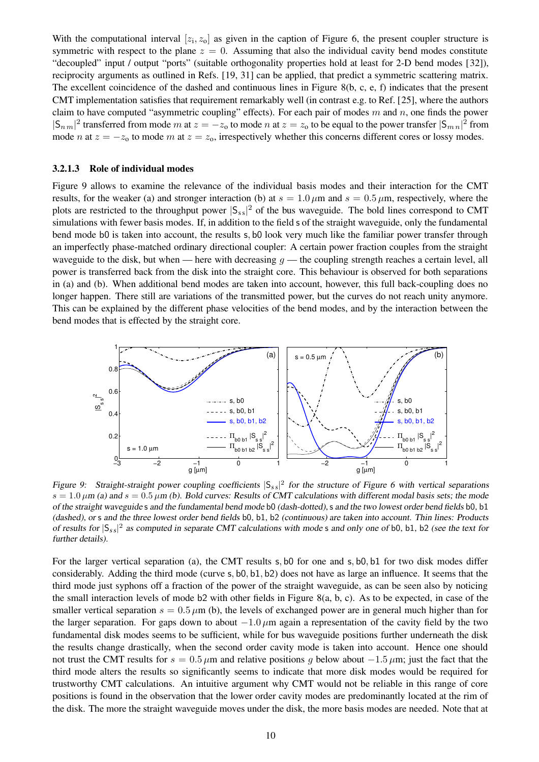With the computational interval  $[z_1, z_0]$  as given in the caption of Figure 6, the present coupler structure is symmetric with respect to the plane  $z = 0$ . Assuming that also the individual cavity bend modes constitute "decoupled" input / output "ports" (suitable orthogonality properties hold at least for 2-D bend modes [32]), reciprocity arguments as outlined in Refs. [19, 31] can be applied, that predict a symmetric scattering matrix. The excellent coincidence of the dashed and continuous lines in Figure 8(b, c, e, f) indicates that the present CMT implementation satisfies that requirement remarkably well (in contrast e.g. to Ref. [25], where the authors claim to have computed "asymmetric coupling" effects). For each pair of modes  $m$  and  $n$ , one finds the power  $|S_{nm}|^2$  transferred from mode m at  $z = -z_0$  to mode n at  $z = z_0$  to be equal to the power transfer  $|S_{mn}|^2$  from mode *n* at  $z = -z_0$  to mode *m* at  $z = z_0$ , irrespectively whether this concerns different cores or lossy modes.

#### **3.2.1.3 Role of individual modes**

Figure 9 allows to examine the relevance of the individual basis modes and their interaction for the CMT results, for the weaker (a) and stronger interaction (b) at  $s = 1.0 \,\mu$ m and  $s = 0.5 \,\mu$ m, respectively, where the plots are restricted to the throughput power  $|S_{ss}|^2$  of the bus waveguide. The bold lines correspond to CMT simulations with fewer basis modes. If, in addition to the field s of the straight waveguide, only the fundamental bend mode b0 is taken into account, the results s, b0 look very much like the familiar power transfer through an imperfectly phase-matched ordinary directional coupler: A certain power fraction couples from the straight waveguide to the disk, but when — here with decreasing  $g$  — the coupling strength reaches a certain level, all power is transferred back from the disk into the straight core. This behaviour is observed for both separations in (a) and (b). When additional bend modes are taken into account, however, this full back-coupling does no longer happen. There still are variations of the transmitted power, but the curves do not reach unity anymore. This can be explained by the different phase velocities of the bend modes, and by the interaction between the bend modes that is effected by the straight core.



Figure 9: Straight-straight power coupling coefficients  $|S_{ss}|^2$  for the structure of Figure 6 with vertical separations  $s = 1.0 \,\mu$ m (a) and  $s = 0.5 \,\mu$ m (b). Bold curves: Results of CMT calculations with different modal basis sets; the mode of the straight waveguide s and the fundamental bend mode b0 (dash-dotted),s and the two lowest order bend fields b0, b1 (dashed), or s and the three lowest order bend fields b0, b1, b2 (continuous) are taken into account. Thin lines: Products of results for  $|S_{ss}|^2$  as computed in separate CMT calculations with mode s and only one of b0, b1, b2 (see the text for further details).

For the larger vertical separation (a), the CMT results s, b0 for one and s, b0, b1 for two disk modes differ considerably. Adding the third mode (curve s, b0, b1, b2) does not have as large an influence. It seems that the third mode just syphons off a fraction of the power of the straight waveguide, as can be seen also by noticing the small interaction levels of mode b2 with other fields in Figure 8(a, b, c). As to be expected, in case of the smaller vertical separation  $s = 0.5 \mu m$  (b), the levels of exchanged power are in general much higher than for the larger separation. For gaps down to about  $-1.0 \mu$ m again a representation of the cavity field by the two fundamental disk modes seems to be sufficient, while for bus waveguide positions further underneath the disk the results change drastically, when the second order cavity mode is taken into account. Hence one should not trust the CMT results for  $s = 0.5 \mu m$  and relative positions q below about  $-1.5 \mu m$ ; just the fact that the third mode alters the results so significantly seems to indicate that more disk modes would be required for trustworthy CMT calculations. An intuitive argument why CMT would not be reliable in this range of core positions is found in the observation that the lower order cavity modes are predominantly located at the rim of the disk. The more the straight waveguide moves under the disk, the more basis modes are needed. Note that at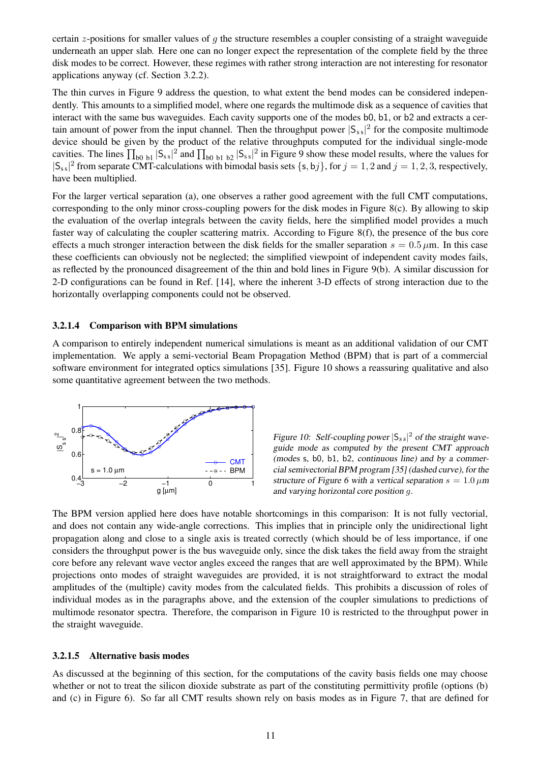certain z-positions for smaller values of g the structure resembles a coupler consisting of a straight waveguide underneath an upper slab. Here one can no longer expect the representation of the complete field by the three disk modes to be correct. However, these regimes with rather strong interaction are not interesting for resonator applications anyway (cf. Section 3.2.2).

The thin curves in Figure 9 address the question, to what extent the bend modes can be considered independently. This amounts to a simplified model, where one regards the multimode disk as a sequence of cavities that interact with the same bus waveguides. Each cavity supports one of the modes b0, b1, or b2 and extracts a certain amount of power from the input channel. Then the throughput power  $|S_{ss}|^2$  for the composite multimode device should be given by the product of the relative throughputs computed for the individual single-mode cavities. The lines  $\prod_{b0}$  b<sub>1</sub>  $|S_{ss}|^2$  and  $\prod_{b0}$  b<sub>1</sub> b<sub>2</sub>  $|S_{ss}|^2$  in Figure 9 show these model results, where the values for  $|S_{ss}|^2$  from separate CMT-calculations with bimodal basis sets  $\{s, bj\}$ , for  $j = 1, 2$  and  $j = 1, 2, 3$ , respectively, have been multiplied.

For the larger vertical separation (a), one observes a rather good agreement with the full CMT computations, corresponding to the only minor cross-coupling powers for the disk modes in Figure 8(c). By allowing to skip the evaluation of the overlap integrals between the cavity fields, here the simplified model provides a much faster way of calculating the coupler scattering matrix. According to Figure 8(f), the presence of the bus core effects a much stronger interaction between the disk fields for the smaller separation  $s = 0.5 \mu m$ . In this case these coefficients can obviously not be neglected; the simplified viewpoint of independent cavity modes fails, as reflected by the pronounced disagreement of the thin and bold lines in Figure 9(b). A similar discussion for 2-D configurations can be found in Ref. [14], where the inherent 3-D effects of strong interaction due to the horizontally overlapping components could not be observed.

## **3.2.1.4 Comparison with BPM simulations**

A comparison to entirely independent numerical simulations is meant as an additional validation of our CMT implementation. We apply a semi-vectorial Beam Propagation Method (BPM) that is part of a commercial software environment for integrated optics simulations [35]. Figure 10 shows a reassuring qualitative and also some quantitative agreement between the two methods.



Figure 10: Self-coupling power  $|S_{ss}|^2$  of the straight waveguide mode as computed by the present CMT approach (modes s, b0, b1, b2, continuous line) and by <sup>a</sup> commercial semivectorial BPM program [35] (dashed curve), for the structure of Figure 6 with a vertical separation  $s = 1.0 \,\mu\text{m}$ and varying horizontal core position g.

The BPM version applied here does have notable shortcomings in this comparison: It is not fully vectorial, and does not contain any wide-angle corrections. This implies that in principle only the unidirectional light propagation along and close to a single axis is treated correctly (which should be of less importance, if one considers the throughput power is the bus waveguide only, since the disk takes the field away from the straight core before any relevant wave vector angles exceed the ranges that are well approximated by the BPM). While projections onto modes of straight waveguides are provided, it is not straightforward to extract the modal amplitudes of the (multiple) cavity modes from the calculated fields. This prohibits a discussion of roles of individual modes as in the paragraphs above, and the extension of the coupler simulations to predictions of multimode resonator spectra. Therefore, the comparison in Figure 10 is restricted to the throughput power in the straight waveguide.

### **3.2.1.5 Alternative basis modes**

As discussed at the beginning of this section, for the computations of the cavity basis fields one may choose whether or not to treat the silicon dioxide substrate as part of the constituting permittivity profile (options (b) and (c) in Figure 6). So far all CMT results shown rely on basis modes as in Figure 7, that are defined for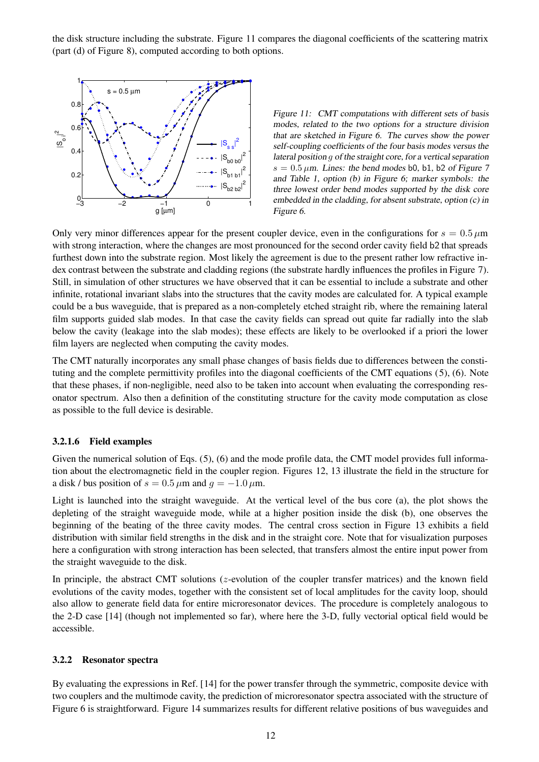the disk structure including the substrate. Figure 11 compares the diagonal coefficients of the scattering matrix (part (d) of Figure 8), computed according to both options.



Figure 11: CMT computations with different sets of basis modes, related to the two options for <sup>a</sup> structure division that are sketched in Figure 6. The curves show the power self-coupling coefficients of the four basis modes versus the lateral position g of the straight core, for <sup>a</sup> vertical separation  $s = 0.5 \mu$ m. Lines: the bend modes b0, b1, b2 of Figure 7 and Table 1, option (b) in Figure 6; marker symbols: the three lowest order bend modes supported by the disk core embedded in the cladding, for absent substrate, option (c) in Figure 6.

Only very minor differences appear for the present coupler device, even in the configurations for  $s = 0.5 \,\mu\text{m}$ with strong interaction, where the changes are most pronounced for the second order cavity field b2 that spreads furthest down into the substrate region. Most likely the agreement is due to the present rather low refractive index contrast between the substrate and cladding regions (the substrate hardly influences the profiles in Figure 7). Still, in simulation of other structures we have observed that it can be essential to include a substrate and other infinite, rotational invariant slabs into the structures that the cavity modes are calculated for. A typical example could be a bus waveguide, that is prepared as a non-completely etched straight rib, where the remaining lateral film supports guided slab modes. In that case the cavity fields can spread out quite far radially into the slab below the cavity (leakage into the slab modes); these effects are likely to be overlooked if a priori the lower film layers are neglected when computing the cavity modes.

The CMT naturally incorporates any small phase changes of basis fields due to differences between the constituting and the complete permittivity profiles into the diagonal coefficients of the CMT equations (5), (6). Note that these phases, if non-negligible, need also to be taken into account when evaluating the corresponding resonator spectrum. Also then a definition of the constituting structure for the cavity mode computation as close as possible to the full device is desirable.

## **3.2.1.6 Field examples**

Given the numerical solution of Eqs. (5), (6) and the mode profile data, the CMT model provides full information about the electromagnetic field in the coupler region. Figures 12, 13 illustrate the field in the structure for a disk / bus position of  $s = 0.5 \mu m$  and  $q = -1.0 \mu m$ .

Light is launched into the straight waveguide. At the vertical level of the bus core (a), the plot shows the depleting of the straight waveguide mode, while at a higher position inside the disk (b), one observes the beginning of the beating of the three cavity modes. The central cross section in Figure 13 exhibits a field distribution with similar field strengths in the disk and in the straight core. Note that for visualization purposes here a configuration with strong interaction has been selected, that transfers almost the entire input power from the straight waveguide to the disk.

In principle, the abstract CMT solutions ( $z$ -evolution of the coupler transfer matrices) and the known field evolutions of the cavity modes, together with the consistent set of local amplitudes for the cavity loop, should also allow to generate field data for entire microresonator devices. The procedure is completely analogous to the 2-D case [14] (though not implemented so far), where here the 3-D, fully vectorial optical field would be accessible.

### **3.2.2 Resonator spectra**

By evaluating the expressions in Ref. [14] for the power transfer through the symmetric, composite device with two couplers and the multimode cavity, the prediction of microresonator spectra associated with the structure of Figure 6 is straightforward. Figure 14 summarizes results for different relative positions of bus waveguides and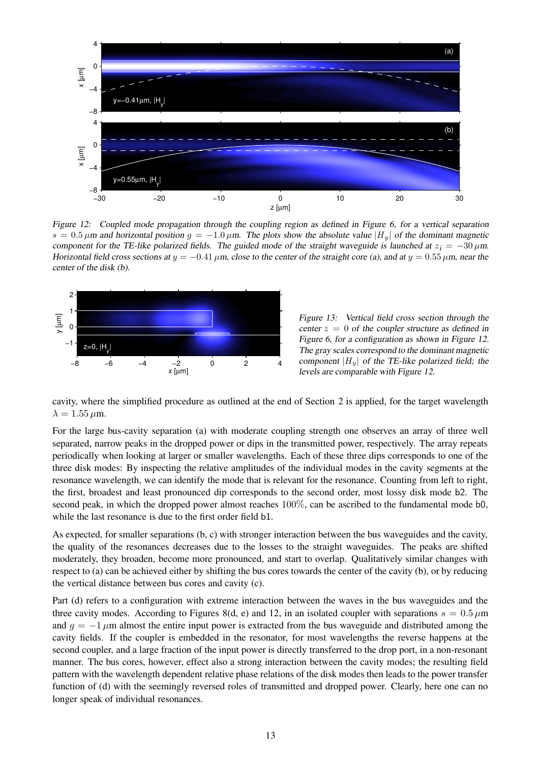

Figure 12: Coupled mode propagation through the coupling region as defined in Figure 6, for a vertical separation  $s = 0.5 \,\mu$ m and horizontal position  $g = -1.0 \,\mu$ m. The plots show the absolute value  $|H_u|$  of the dominant magnetic component for the TE-like polarized fields. The guided mode of the straight waveguide is launched at  $z_i = -30 \,\mu$ m. Horizontal field cross sections at  $y = -0.41 \,\mu$ m, close to the center of the straight core (a), and at  $y = 0.55 \,\mu$ m, near the center of the disk (b).



Figure 13: Vertical field cross section through the center  $z = 0$  of the coupler structure as defined in Figure 6, for <sup>a</sup> configuration as shown in Figure 12. The gray scales correspond to the dominant magnetic component  $|H_u|$  of the TE-like polarized field; the levels are comparable with Figure 12.

cavity, where the simplified procedure as outlined at the end of Section 2 is applied, for the target wavelength  $\lambda = 1.55 \,\mu \mathrm{m}$ .

For the large bus-cavity separation (a) with moderate coupling strength one observes an array of three well separated, narrow peaks in the dropped power or dips in the transmitted power, respectively. The array repeats periodically when looking at larger or smaller wavelengths. Each of these three dips corresponds to one of the three disk modes: By inspecting the relative amplitudes of the individual modes in the cavity segments at the resonance wavelength, we can identify the mode that is relevant for the resonance. Counting from left to right, the first, broadest and least pronounced dip corresponds to the second order, most lossy disk mode b2. The second peak, in which the dropped power almost reaches 100%, can be ascribed to the fundamental mode b0, while the last resonance is due to the first order field b1.

As expected, for smaller separations (b, c) with stronger interaction between the bus waveguides and the cavity, the quality of the resonances decreases due to the losses to the straight waveguides. The peaks are shifted moderately, they broaden, become more pronounced, and start to overlap. Qualitatively similar changes with respect to (a) can be achieved either by shifting the bus cores towards the center of the cavity (b), or by reducing the vertical distance between bus cores and cavity (c).

Part (d) refers to a configuration with extreme interaction between the waves in the bus waveguides and the three cavity modes. According to Figures 8(d, e) and 12, in an isolated coupler with separations  $s = 0.5 \,\mu\text{m}$ and  $q = -1 \mu m$  almost the entire input power is extracted from the bus waveguide and distributed among the cavity fields. If the coupler is embedded in the resonator, for most wavelengths the reverse happens at the second coupler, and a large fraction of the input power is directly transferred to the drop port, in a non-resonant manner. The bus cores, however, effect also a strong interaction between the cavity modes; the resulting field pattern with the wavelength dependent relative phase relations of the disk modes then leads to the power transfer function of (d) with the seemingly reversed roles of transmitted and dropped power. Clearly, here one can no longer speak of individual resonances.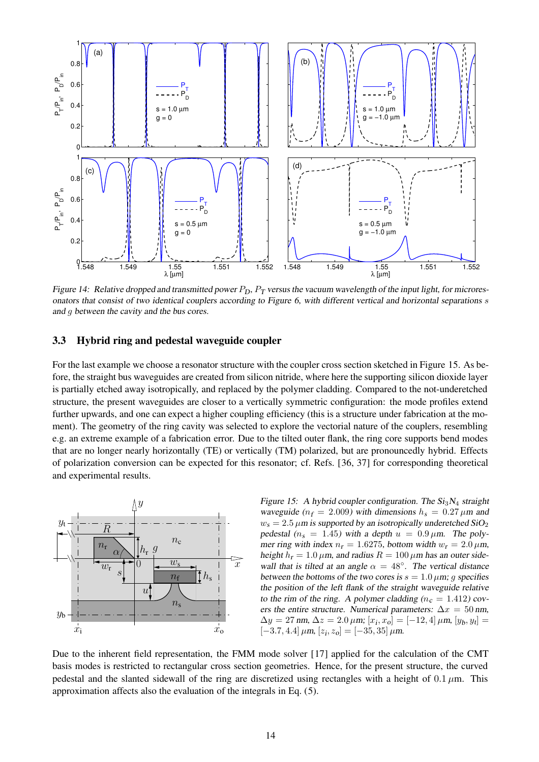

Figure 14: Relative dropped and transmitted power  $P_D$ ,  $P_T$  versus the vacuum wavelength of the input light, for microresonators that consist of two identical couplers according to Figure 6, with different vertical and horizontal separations s and g between the cavity and the bus cores.

## **3.3 Hybrid ring and pedestal waveguide coupler**

For the last example we choose a resonator structure with the coupler cross section sketched in Figure 15. As before, the straight bus waveguides are created from silicon nitride, where here the supporting silicon dioxide layer is partially etched away isotropically, and replaced by the polymer cladding. Compared to the not-underetched structure, the present waveguides are closer to a vertically symmetric configuration: the mode profiles extend further upwards, and one can expect a higher coupling efficiency (this is a structure under fabrication at the moment). The geometry of the ring cavity was selected to explore the vectorial nature of the couplers, resembling e.g. an extreme example of a fabrication error. Due to the tilted outer flank, the ring core supports bend modes that are no longer nearly horizontally (TE) or vertically (TM) polarized, but are pronouncedly hybrid. Effects of polarization conversion can be expected for this resonator; cf. Refs. [36, 37] for corresponding theoretical and experimental results.



Figure 15: A hybrid coupler configuration. The  $Si<sub>3</sub>N<sub>4</sub>$  straight waveguide ( $n_f = 2.009$ ) with dimensions  $h_s = 0.27 \,\mu \text{m}$  and  $w_s = 2.5 \,\mu \text{m}$  is supported by an isotropically underetched SiO<sub>2</sub> pedestal ( $n_s = 1.45$ ) with a depth  $u = 0.9 \mu$ m. The polymer ring with index  $n_r = 1.6275$ , bottom width  $w_r = 2.0 \,\mu \text{m}$ , height  $h_r = 1.0 \,\mu$ m, and radius  $R = 100 \,\mu$ m has an outer sidewall that is tilted at an angle  $\alpha = 48^\circ$ . The vertical distance between the bottoms of the two cores is  $s = 1.0 \mu m$ ; g specifies the position of the left flank of the straight waveguide relative to the rim of the ring. A polymer cladding ( $n_c = 1.412$ ) covers the entire structure. Numerical parameters:  $\Delta x = 50$  nm,  $\Delta y = 27 \text{ nm}, \Delta z = 2.0 \mu \text{m}; [x_i, x_o] = [-12, 4] \mu \text{m}, [y_b, y_t] =$  $[-3.7, 4.4] \mu \text{m}, [z_i, z_o] = [-35, 35] \mu \text{m}.$ 

Due to the inherent field representation, the FMM mode solver [17] applied for the calculation of the CMT basis modes is restricted to rectangular cross section geometries. Hence, for the present structure, the curved pedestal and the slanted sidewall of the ring are discretized using rectangles with a height of  $0.1 \mu m$ . This approximation affects also the evaluation of the integrals in Eq. (5).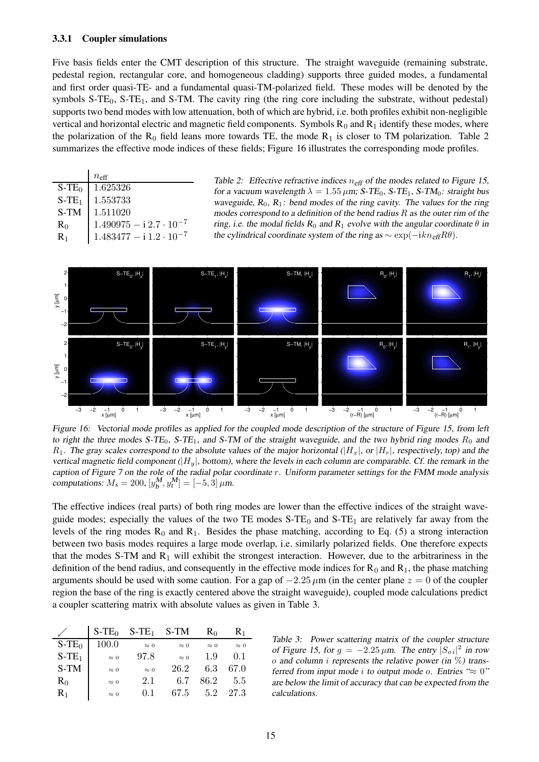### **3.3.1 Coupler simulations**

Five basis fields enter the CMT description of this structure. The straight waveguide (remaining substrate, pedestal region, rectangular core, and homogeneous cladding) supports three guided modes, a fundamental and first order quasi-TE- and a fundamental quasi-TM-polarized field. These modes will be denoted by the symbols  $S-TE_0$ ,  $S-TE_1$ , and  $S-TM$ . The cavity ring (the ring core including the substrate, without pedestal) supports two bend modes with low attenuation, both of which are hybrid, i.e. both profiles exhibit non-negligible vertical and horizontal electric and magnetic field components. Symbols  $R_0$  and  $R_1$  identify these modes, where the polarization of the  $R_0$  field leans more towards TE, the mode  $R_1$  is closer to TM polarization. Table 2 summarizes the effective mode indices of these fields; Figure 16 illustrates the corresponding mode profiles.

|                      | $n_{\rm eff}$                               |
|----------------------|---------------------------------------------|
| $S$ -TE <sub>0</sub> | 1.625326                                    |
| $S-TE1$              | 1.553733                                    |
| S-TM                 | 1.511020                                    |
| $R_0$                | $1.490975 - i 2.7 \cdot 10^{-7}$            |
| $R_1$                | $1.483477 - \mathrm{i}\, 1.2 \cdot 10^{-7}$ |

Table 2: Effective refractive indices  $n_{\text{eff}}$  of the modes related to Figure 15, for a vacuum wavelength  $\lambda = 1.55 \,\mu \text{m}$ ; S-TE<sub>0</sub>, S-TE<sub>1</sub>, S-TM<sub>0</sub>: straight bus waveguide,  $R_0$ ,  $R_1$ : bend modes of the ring cavity. The values for the ring modes correspond to a definition of the bend radius  $R$  as the outer rim of the ring, i.e. the modal fields  $R_0$  and  $R_1$  evolve with the angular coordinate  $\theta$  in the cylindrical coordinate system of the ring as  $\sim \exp(-ik n_{\text{eff}}R\theta)$ .



Figure 16: Vectorial mode profiles as applied for the coupled mode description of the structure of Figure 15, from left to right the three modes S-TE<sub>0</sub>, S-TE<sub>1</sub>, and S-TM of the straight waveguide, and the two hybrid ring modes  $R_0$  and  $R_1$ . The gray scales correspond to the absolute values of the major horizontal ( $|H_x|$ , or  $|H_r|$ , respectively, top) and the vertical magnetic field component  $(|H_u|$ , bottom), where the levels in each column are comparable. Cf. the remark in the caption of Figure <sup>7</sup> on the role of the radial polar coordinate r. Uniform parameter settings for the FMM mode analysis computations:  $M_s = 200$ ,  $[y_b^M, y_t^M] = [-5, 3] \mu m$ .

The effective indices (real parts) of both ring modes are lower than the effective indices of the straight waveguide modes; especially the values of the two TE modes  $S-TE_0$  and  $S-TE_1$  are relatively far away from the levels of the ring modes  $R_0$  and  $R_1$ . Besides the phase matching, according to Eq. (5) a strong interaction between two basis modes requires a large mode overlap, i.e. similarly polarized fields. One therefore expects that the modes S-TM and  $R_1$  will exhibit the strongest interaction. However, due to the arbitrariness in the definition of the bend radius, and consequently in the effective mode indices for  $R_0$  and  $R_1$ , the phase matching arguments should be used with some caution. For a gap of  $-2.25 \mu m$  (in the center plane  $z = 0$  of the coupler region the base of the ring is exactly centered above the straight waveguide), coupled mode calculations predict a coupler scattering matrix with absolute values as given in Table 3.

|         | $S$ -TE <sub>0</sub> | $S-TE_1$    | S-TM        | R∩          | $R_1$       |
|---------|----------------------|-------------|-------------|-------------|-------------|
| $S-TE0$ | 100.0                | $\approx 0$ | $\approx 0$ | $\approx 0$ | $\approx 0$ |
| $S-TE1$ | $\approx 0$          | 97.8        | $\approx 0$ | 1.9         | 0.1         |
| S-TM    | $\approx 0$          | $\approx 0$ | 26.2        | 6.3         | 67.0        |
| $R_0$   | $\approx 0$          | 2.1         | 6.7         | 86.2        | 5.5         |
| $R_1$   | $\approx 0$          | 0.1         | 67.5        | 5.2         | 27.3        |

Table 3: Power scattering matrix of the coupler structure of Figure 15, for  $g = -2.25 \mu m$ . The entry  $|S_{oi}|^2$  in row o and column *i* represents the relative power (in  $\%$ ) transferred from input mode i to output mode o. Entries " $\approx 0$ " are below the limit of accuracy that can be expected from the calculations.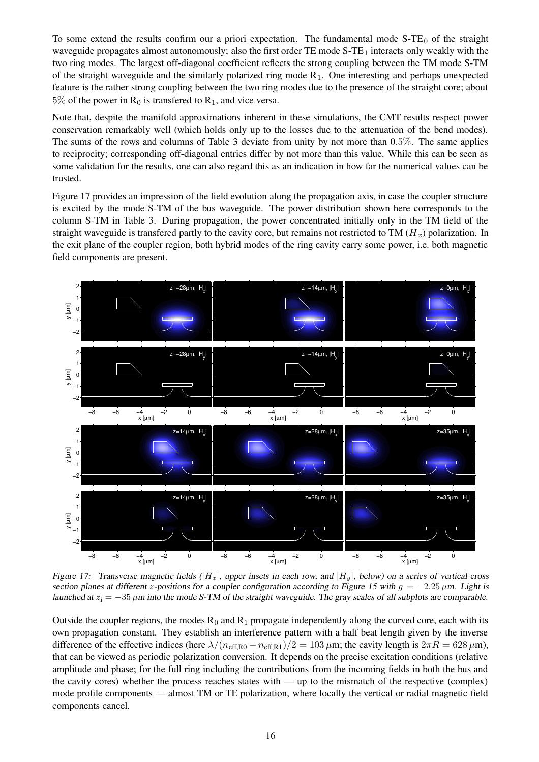To some extend the results confirm our a priori expectation. The fundamental mode  $S-TE<sub>0</sub>$  of the straight waveguide propagates almost autonomously; also the first order TE mode  $S-TE_1$  interacts only weakly with the two ring modes. The largest off-diagonal coefficient reflects the strong coupling between the TM mode S-TM of the straight waveguide and the similarly polarized ring mode  $R_1$ . One interesting and perhaps unexpected feature is the rather strong coupling between the two ring modes due to the presence of the straight core; about  $5\%$  of the power in  $R_0$  is transfered to  $R_1$ , and vice versa.

Note that, despite the manifold approximations inherent in these simulations, the CMT results respect power conservation remarkably well (which holds only up to the losses due to the attenuation of the bend modes). The sums of the rows and columns of Table 3 deviate from unity by not more than 0.5%. The same applies to reciprocity; corresponding off-diagonal entries differ by not more than this value. While this can be seen as some validation for the results, one can also regard this as an indication in how far the numerical values can be trusted.

Figure 17 provides an impression of the field evolution along the propagation axis, in case the coupler structure is excited by the mode S-TM of the bus waveguide. The power distribution shown here corresponds to the column S-TM in Table 3. During propagation, the power concentrated initially only in the TM field of the straight waveguide is transfered partly to the cavity core, but remains not restricted to TM  $(H_x)$  polarization. In the exit plane of the coupler region, both hybrid modes of the ring cavity carry some power, i.e. both magnetic field components are present.



Figure 17: Transverse magnetic fields  $(|H_x|$ , upper insets in each row, and  $|H_y|$ , below) on a series of vertical cross section planes at different z-positions for a coupler configuration according to Figure 15 with  $g = -2.25 \mu m$ . Light is launched at  $z_i = -35 \mu m$  into the mode S-TM of the straight waveguide. The gray scales of all subplots are comparable.

Outside the coupler regions, the modes  $R_0$  and  $R_1$  propagate independently along the curved core, each with its own propagation constant. They establish an interference pattern with a half beat length given by the inverse difference of the effective indices (here  $\lambda/(n_{\text{eff,R0}} - n_{\text{eff,R1}})/2 = 103 \,\mu\text{m}$ ; the cavity length is  $2\pi R = 628 \,\mu\text{m}$ ), that can be viewed as periodic polarization conversion. It depends on the precise excitation conditions (relative amplitude and phase; for the full ring including the contributions from the incoming fields in both the bus and the cavity cores) whether the process reaches states with — up to the mismatch of the respective (complex) mode profile components — almost TM or TE polarization, where locally the vertical or radial magnetic field components cancel.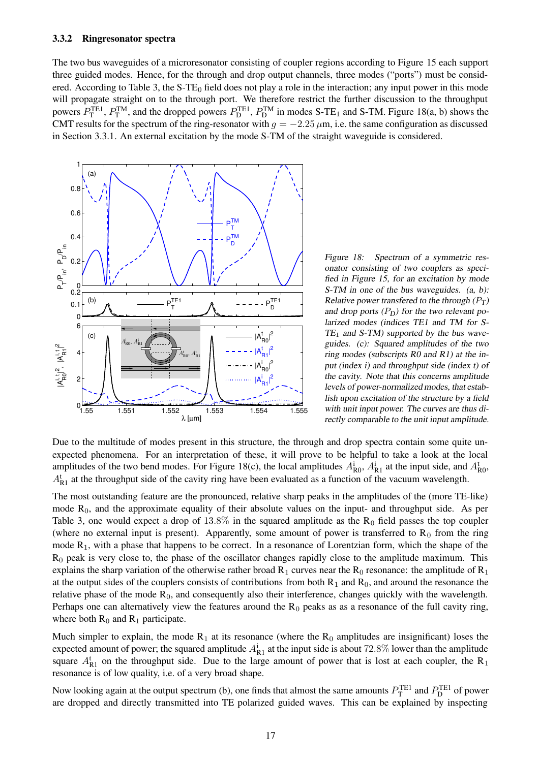#### **3.3.2 Ringresonator spectra**

The two bus waveguides of a microresonator consisting of coupler regions according to Figure 15 each support three guided modes. Hence, for the through and drop output channels, three modes ("ports") must be considered. According to Table 3, the  $S$ -TE<sub>0</sub> field does not play a role in the interaction; any input power in this mode will propagate straight on to the through port. We therefore restrict the further discussion to the throughput powers  $P_T^{TE1}$ ,  $P_T^{TM}$ , and the dropped powers  $P_D^{TE1}$ ,  $P_D^{TM}$  in modes S-TE<sub>1</sub> and S-TM. Figure 18(a, b) shows the CMT results for the spectrum of the ring-resonator with  $q = -2.25 \mu m$ , i.e. the same configuration as discussed in Section 3.3.1. An external excitation by the mode S-TM of the straight waveguide is considered.



Figure 18: Spectrum of a symmetric resonator consisting of two couplers as specified in Figure 15, for an excitation by mode S-TM in one of the bus waveguides.  $(a, b)$ : Relative power transfered to the through  $(P_T)$ and drop ports  $(P_D)$  for the two relevant polarized modes (indices TE1 and TM for S- $TE_1$  and S-TM) supported by the bus waveguides. (c): Squared amplitudes of the two ring modes (subscripts R0 and R1) at the input (index i) and throughput side (index t) of the cavity. Note that this concerns amplitude levels of power-normalized modes, that establish upon excitation of the structure by <sup>a</sup> field with unit input power. The curves are thus directly comparable to the unit input amplitude.

Due to the multitude of modes present in this structure, the through and drop spectra contain some quite unexpected phenomena. For an interpretation of these, it will prove to be helpful to take a look at the local amplitudes of the two bend modes. For Figure 18(c), the local amplitudes  $A_{R0}^i$ ,  $A_{R1}^i$  at the input side, and  $A_{R0}^t$ ,  $A_{R1}^t$  at the throughput side of the cavity ring have been evaluated as a function of the vacuum wavelength.

The most outstanding feature are the pronounced, relative sharp peaks in the amplitudes of the (more TE-like) mode  $R_0$ , and the approximate equality of their absolute values on the input- and throughput side. As per Table 3, one would expect a drop of  $13.8\%$  in the squared amplitude as the R<sub>0</sub> field passes the top coupler (where no external input is present). Apparently, some amount of power is transferred to  $R_0$  from the ring mode  $R_1$ , with a phase that happens to be correct. In a resonance of Lorentzian form, which the shape of the  $R_0$  peak is very close to, the phase of the oscillator changes rapidly close to the amplitude maximum. This explains the sharp variation of the otherwise rather broad  $R_1$  curves near the  $R_0$  resonance: the amplitude of  $R_1$ at the output sides of the couplers consists of contributions from both  $R_1$  and  $R_0$ , and around the resonance the relative phase of the mode  $R_0$ , and consequently also their interference, changes quickly with the wavelength. Perhaps one can alternatively view the features around the  $R_0$  peaks as as a resonance of the full cavity ring, where both  $R_0$  and  $R_1$  participate.

Much simpler to explain, the mode  $R_1$  at its resonance (where the  $R_0$  amplitudes are insignificant) loses the expected amount of power; the squared amplitude  $A_{R1}^i$  at the input side is about 72.8% lower than the amplitude square  $A_{R1}^t$  on the throughput side. Due to the large amount of power that is lost at each coupler, the R<sub>1</sub> resonance is of low quality, i.e. of a very broad shape.

Now looking again at the output spectrum (b), one finds that almost the same amounts  $P_T^{\text{TE1}}$  and  $P_D^{\text{TE1}}$  of power are dropped and directly transmitted into TE polarized guided waves. This can be explained by inspecting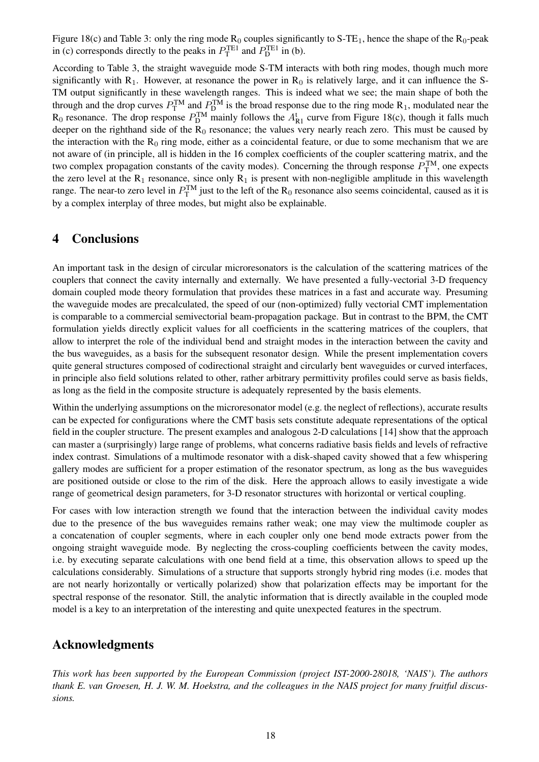Figure 18(c) and Table 3: only the ring mode  $R_0$  couples significantly to S-TE<sub>1</sub>, hence the shape of the  $R_0$ -peak in (c) corresponds directly to the peaks in  $P_{\text{T}}^{\text{TE1}}$  and  $P_{\text{D}}^{\text{TE1}}$  in (b).

According to Table 3, the straight waveguide mode S-TM interacts with both ring modes, though much more significantly with  $R_1$ . However, at resonance the power in  $R_0$  is relatively large, and it can influence the S-TM output significantly in these wavelength ranges. This is indeed what we see; the main shape of both the through and the drop curves  $P_T^{TM}$  and  $P_D^{TM}$  is the broad response due to the ring mode  $R_1$ , modulated near the  $R_0$  resonance. The drop response  $P_D^{TM}$  mainly follows the  $A_{R_1}^t$  curve from Figure 18(c), though it falls much deeper on the righthand side of the  $R_0$  resonance; the values very nearly reach zero. This must be caused by the interaction with the  $R_0$  ring mode, either as a coincidental feature, or due to some mechanism that we are not aware of (in principle, all is hidden in the 16 complex coefficients of the coupler scattering matrix, and the two complex propagation constants of the cavity modes). Concerning the through response  $P_T^{TM}$ , one expects the zero level at the  $R_1$  resonance, since only  $R_1$  is present with non-negligible amplitude in this wavelength range. The near-to zero level in  $P_T^{TM}$  just to the left of the  $R_0$  resonance also seems coincidental, caused as it is by a complex interplay of three modes, but might also be explainable.

# **4 Conclusions**

An important task in the design of circular microresonators is the calculation of the scattering matrices of the couplers that connect the cavity internally and externally. We have presented a fully-vectorial 3-D frequency domain coupled mode theory formulation that provides these matrices in a fast and accurate way. Presuming the waveguide modes are precalculated, the speed of our (non-optimized) fully vectorial CMT implementation is comparable to a commercial semivectorial beam-propagation package. But in contrast to the BPM, the CMT formulation yields directly explicit values for all coefficients in the scattering matrices of the couplers, that allow to interpret the role of the individual bend and straight modes in the interaction between the cavity and the bus waveguides, as a basis for the subsequent resonator design. While the present implementation covers quite general structures composed of codirectional straight and circularly bent waveguides or curved interfaces, in principle also field solutions related to other, rather arbitrary permittivity profiles could serve as basis fields, as long as the field in the composite structure is adequately represented by the basis elements.

Within the underlying assumptions on the microresonator model (e.g. the neglect of reflections), accurate results can be expected for configurations where the CMT basis sets constitute adequate representations of the optical field in the coupler structure. The present examples and analogous 2-D calculations [14] show that the approach can master a (surprisingly) large range of problems, what concerns radiative basis fields and levels of refractive index contrast. Simulations of a multimode resonator with a disk-shaped cavity showed that a few whispering gallery modes are sufficient for a proper estimation of the resonator spectrum, as long as the bus waveguides are positioned outside or close to the rim of the disk. Here the approach allows to easily investigate a wide range of geometrical design parameters, for 3-D resonator structures with horizontal or vertical coupling.

For cases with low interaction strength we found that the interaction between the individual cavity modes due to the presence of the bus waveguides remains rather weak; one may view the multimode coupler as a concatenation of coupler segments, where in each coupler only one bend mode extracts power from the ongoing straight waveguide mode. By neglecting the cross-coupling coefficients between the cavity modes, i.e. by executing separate calculations with one bend field at a time, this observation allows to speed up the calculations considerably. Simulations of a structure that supports strongly hybrid ring modes (i.e. modes that are not nearly horizontally or vertically polarized) show that polarization effects may be important for the spectral response of the resonator. Still, the analytic information that is directly available in the coupled mode model is a key to an interpretation of the interesting and quite unexpected features in the spectrum.

# **Acknowledgments**

*This work has been supported by the European Commission (project IST-2000-28018, 'NAIS'). The authors thank E. van Groesen, H. J. W. M. Hoekstra, and the colleagues in the NAIS project for many fruitful discussions.*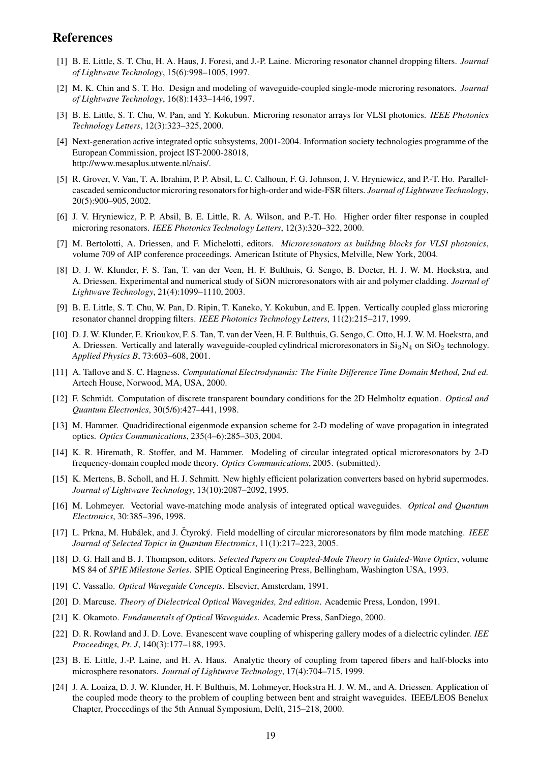## **References**

- [1] B. E. Little, S. T. Chu, H. A. Haus, J. Foresi, and J.-P. Laine. Microring resonator channel dropping filters. *Journal of Lightwave Technology*, 15(6):998–1005, 1997.
- [2] M. K. Chin and S. T. Ho. Design and modeling of waveguide-coupled single-mode microring resonators. *Journal of Lightwave Technology*, 16(8):1433–1446, 1997.
- [3] B. E. Little, S. T. Chu, W. Pan, and Y. Kokubun. Microring resonator arrays for VLSI photonics. *IEEE Photonics Technology Letters*, 12(3):323–325, 2000.
- [4] Next-generation active integrated optic subsystems, 2001-2004. Information society technologies programme of the European Commission, project IST-2000-28018, http://www.mesaplus.utwente.nl/nais/.
- [5] R. Grover, V. Van, T. A. Ibrahim, P. P. Absil, L. C. Calhoun, F. G. Johnson, J. V. Hryniewicz, and P.-T. Ho. Parallelcascaded semiconductor microring resonators for high-order and wide-FSR filters. *Journal of Lightwave Technology*, 20(5):900–905, 2002.
- [6] J. V. Hryniewicz, P. P. Absil, B. E. Little, R. A. Wilson, and P.-T. Ho. Higher order filter response in coupled microring resonators. *IEEE Photonics Technology Letters*, 12(3):320–322, 2000.
- [7] M. Bertolotti, A. Driessen, and F. Michelotti, editors. *Microresonators as building blocks for VLSI photonics*, volume 709 of AIP conference proceedings. American Istitute of Physics, Melville, New York, 2004.
- [8] D. J. W. Klunder, F. S. Tan, T. van der Veen, H. F. Bulthuis, G. Sengo, B. Docter, H. J. W. M. Hoekstra, and A. Driessen. Experimental and numerical study of SiON microresonators with air and polymer cladding. *Journal of Lightwave Technology*, 21(4):1099–1110, 2003.
- [9] B. E. Little, S. T. Chu, W. Pan, D. Ripin, T. Kaneko, Y. Kokubun, and E. Ippen. Vertically coupled glass microring resonator channel dropping filters. *IEEE Photonics Technology Letters*, 11(2):215–217, 1999.
- [10] D. J. W. Klunder, E. Krioukov, F. S. Tan, T. van der Veen, H. F. Bulthuis, G. Sengo, C. Otto, H. J. W. M. Hoekstra, and A. Driessen. Vertically and laterally waveguide-coupled cylindrical microresonators in  $Si<sub>3</sub>N<sub>4</sub>$  on  $SiO<sub>2</sub>$  technology. *Applied Physics B*, 73:603–608, 2001.
- [11] A. Taflove and S. C. Hagness. *Computational Electrodynamis: The Finite Difference Time Domain Method, 2nd ed.* Artech House, Norwood, MA, USA, 2000.
- [12] F. Schmidt. Computation of discrete transparent boundary conditions for the 2D Helmholtz equation. *Optical and Quantum Electronics*, 30(5/6):427–441, 1998.
- [13] M. Hammer. Quadridirectional eigenmode expansion scheme for 2-D modeling of wave propagation in integrated optics. *Optics Communications*, 235(4–6):285–303, 2004.
- [14] K. R. Hiremath, R. Stoffer, and M. Hammer. Modeling of circular integrated optical microresonators by 2-D frequency-domain coupled mode theory. *Optics Communications*, 2005. (submitted).
- [15] K. Mertens, B. Scholl, and H. J. Schmitt. New highly efficient polarization converters based on hybrid supermodes. *Journal of Lightwave Technology*, 13(10):2087–2092, 1995.
- [16] M. Lohmeyer. Vectorial wave-matching mode analysis of integrated optical waveguides. *Optical and Quantum Electronics*, 30:385–396, 1998.
- [17] L. Prkna, M. Hubálek, and J. Čtyroký. Field modelling of circular microresonators by film mode matching. *IEEE Journal of Selected Topics in Quantum Electronics*, 11(1):217–223, 2005.
- [18] D. G. Hall and B. J. Thompson, editors. *Selected Papers on Coupled-Mode Theory in Guided-Wave Optics*, volume MS 84 of *SPIE Milestone Series*. SPIE Optical Engineering Press, Bellingham, Washington USA, 1993.
- [19] C. Vassallo. *Optical Waveguide Concepts*. Elsevier, Amsterdam, 1991.
- [20] D. Marcuse. *Theory of Dielectrical Optical Waveguides, 2nd edition*. Academic Press, London, 1991.
- [21] K. Okamoto. *Fundamentals of Optical Waveguides*. Academic Press, SanDiego, 2000.
- [22] D. R. Rowland and J. D. Love. Evanescent wave coupling of whispering gallery modes of a dielectric cylinder. *IEE Proceedings, Pt. J*, 140(3):177–188, 1993.
- [23] B. E. Little, J.-P. Laine, and H. A. Haus. Analytic theory of coupling from tapered fibers and half-blocks into microsphere resonators. *Journal of Lightwave Technology*, 17(4):704–715, 1999.
- [24] J. A. Loaiza, D. J. W. Klunder, H. F. Bulthuis, M. Lohmeyer, Hoekstra H. J. W. M., and A. Driessen. Application of the coupled mode theory to the problem of coupling between bent and straight waveguides. IEEE/LEOS Benelux Chapter, Proceedings of the 5th Annual Symposium, Delft, 215–218, 2000.